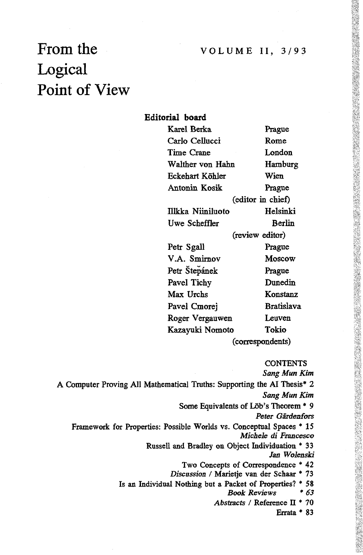# From the Logical Point of View

## Editorial board

| Karel Berka       | Prague            |
|-------------------|-------------------|
| Carlo Cellucci    | Rome              |
| Time Crane        | London            |
| Walther von Hahn  | Hamburg           |
| Eckehart Köhler   | Wien              |
| Antonin Kosik     | Prague            |
| (editor in chief) |                   |
| Illkka Niiniluoto | Helsinki          |
| Uwe Scheffler     | <b>Berlin</b>     |
| (review editor)   |                   |
| Petr Sgall        | Prague            |
| V.A. Smirnov      | Moscow            |
| Petr Štepánek     | Prague            |
| Pavel Tichy       | Dunedin           |
| Max Urchs         | Konstanz          |
| Pavel Cmorei      | <b>Bratislava</b> |
| Roger Vergauwen   | Leuven            |
| Kazayuki Nomoto   | Tokio             |
| (correspondents)  |                   |

**CONTENTS** 

*Sang Mun Kim* A Computer Proving All Mathematical Truths: Supporting the AI Thesis\* 2 *Sang Mun Kim* Some Equivalents of Löb's Theorem \* 9 Peter Gärdenfors Framework for Properties: Possible Worlds vs. Conceptual Spaces \* 15 *Michele di Francesco* Russell and Bradley on Object Individuation \* 33 *Jan Wolenski* Two Concepts of Correspondence \* 42 *Discussion I* Marietje van der Schaar \* 73 Is an Individual Nothing but a Packet of Properties? \* 58<br>Book Reviews \* 63

*Book Reviews \* 63*

*Abstracts / Reference II \* 70* 

Errata \* 83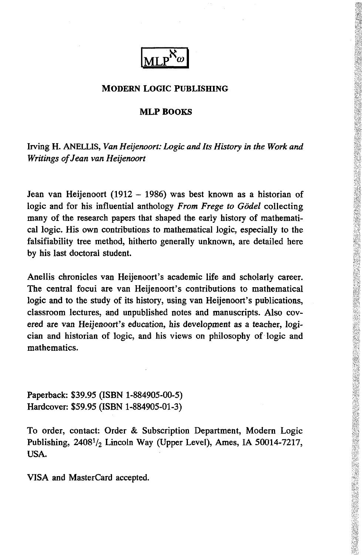

## MODERN LOGIC PUBLISHING

#### MLP BOOKS

Irving H. ANELLIS, *Van Heijenoort: Logic and Its History in the Work and Writings of Jean van Heijenoort*

Jean van Heijenoort (1912 - 1986) was best known as a historian of logic and for his influential anthology *From Frege to Godei* collecting many of the research papers that shaped the early history of mathematical logic. His own contributions to mathematical logic, especially to the falsifiability tree method, hitherto generally unknown, are detailed here by his last doctoral student.

Anellis chronicles van Heijenoort's academic life and scholarly career. The central focui are van Heijenoort's contributions to mathematical logic and to the study of its history, using van Heijenoort's publications, classroom lectures, and unpublished notes and manuscripts. Also covered are van Heijenoort's education, his development as a teacher, logician and historian of logic, and his views on philosophy of logic and mathematics.

Paperback: \$39.95 (ISBN 1-884905-00-5) Hardcover: \$59.95 (ISBN 1-884905-01-3)

To order, contact: Order & Subscription Department, Modern Logic Publishing,  $2408^{1/2}$  Lincoln Way (Upper Level), Ames, IA 50014-7217, USA.

VISA and MasterCard accepted.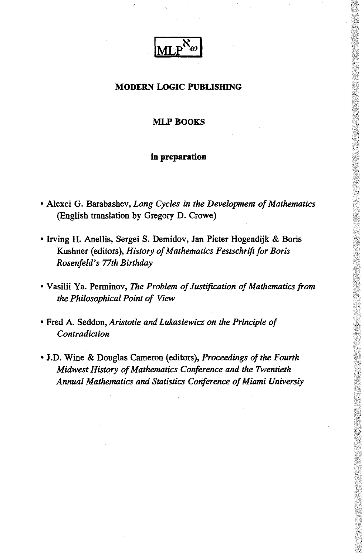

## **MODERN LOGIC PUBLISHING**

## **MLP BOOKS**

## **in preparation**

- Alexei G. Barabashev, *Long Cycles in the Development of Mathematics* (English translation by Gregory D. Crowe)
- Irving H. Anellis, Sergei S. Demidov, Jan Pieter Hogendijk & Boris Kushner (editors), *History of Mathematics Festschrift for Boris Rosenfeld's 77th Birthday*
- Vasilii Ya. Perminov, *The Problem of Justification of Mathematics from the Philosophical Point of View*
- Fred A. Seddon, *Aristotle and Lukasiewicz on the Principle of Contradiction*
- J.D. Wine & Douglas Cameron (editors), *Proceedings of the Fourth Midwest History of Mathematics Conference and the Twentieth Annual Mathematics and Statistics Conference of Miami Universiy*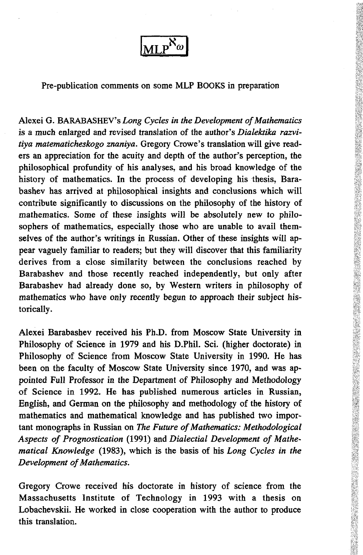

Pre-publication comments on some MLP BOOKS in preparation

Alexei G. BARABASHEV's *Long Cycles in the Development of Mathematics* is a much enlarged and revised translation of the author's *Dialektika razvitiya matematicheskogo znaniya.* Gregory Crowe's translation will give readers an appreciation for the acuity and depth of the author's perception, the philosophical profundity of his analyses, and his broad knowledge of the history of mathematics. In the process of developing his thesis, Barabashev has arrived at philosophical insights and conclusions which will contribute significantly to discussions on the philosophy of the history of mathematics. Some of these insights will be absolutely new to philosophers of mathematics, especially those who are unable to avail themselves of the author's writings in Russian. Other of these insights will appear vaguely familiar to readers; but they will discover that this familiarity derives from a close similarity between the conclusions reached by Barabashev and those recently reached independently, but only after Barabashev had already done so, by Western writers in philosophy of mathematics who have only recently begun to approach their subject historically.

Alexei Barabashev received his Ph.D. from Moscow State University in Philosophy of Science in 1979 and his D.Phil. Sci. (higher doctorate) in Philosophy of Science from Moscow State University in 1990. He has been on the faculty of Moscow State University since 1970, and was appointed Full Professor in the Department of Philosophy and Methodology of Science in 1992. He has published numerous articles in Russian, English, and German on the philosophy and methodology of the history of mathematics and mathematical knowledge and has published two important monographs in Russian on *The Future of Mathematics: Methodological Aspects of Prognostication* (1991) and *Dialectial Development of Mathematical Knowledge* (1983), which is the basis of his *Long Cycles in the Development of Mathematics.*

Gregory Crowe received his doctorate in history of science from the Massachusetts Institute of Technology in 1993 with a thesis on Lobachevskii. He worked in close cooperation with the author to produce this translation.